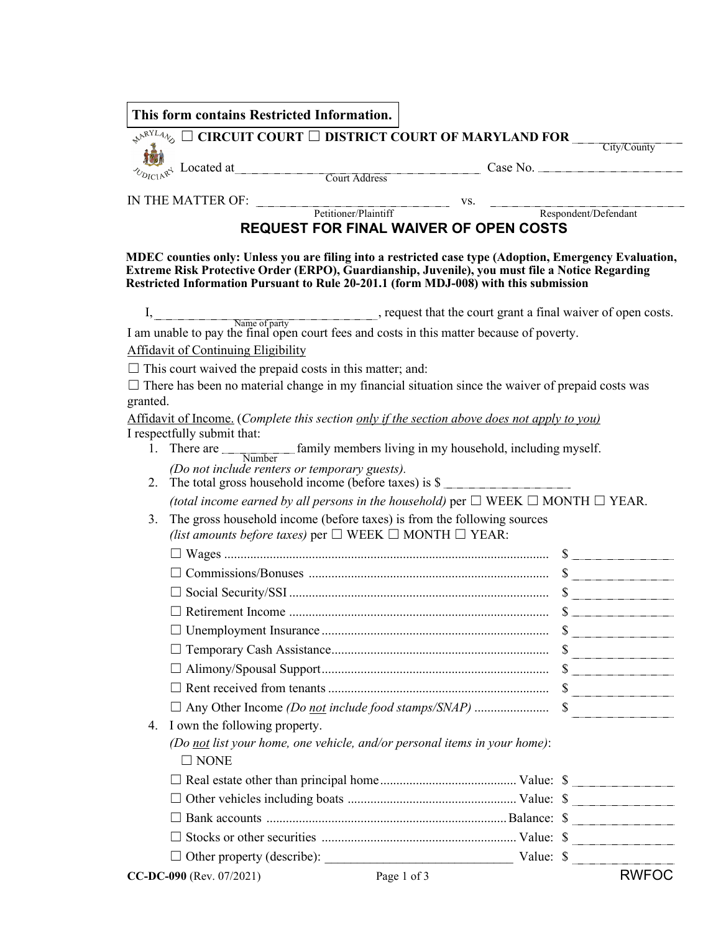|                                            | This form contains Restricted Information.                                                                                                                                                                                                                                                        |                                                                 |
|--------------------------------------------|---------------------------------------------------------------------------------------------------------------------------------------------------------------------------------------------------------------------------------------------------------------------------------------------------|-----------------------------------------------------------------|
|                                            | $\mathcal{A}^{\mathcal{R}^{NLL} \mathcal{A}}$ $\emptyset$ $\Box$ CIRCUIT COURT $\Box$ DISTRICT COURT OF MARYLAND FOR $\Box$                                                                                                                                                                       | $\vert \bm{\nabla} \vert$<br>City/County                        |
|                                            | $\sum_{R \in A^{R^4}}$ Located at Court Address Case No.                                                                                                                                                                                                                                          |                                                                 |
|                                            |                                                                                                                                                                                                                                                                                                   |                                                                 |
|                                            |                                                                                                                                                                                                                                                                                                   |                                                                 |
|                                            | IN THE MATTER OF: Petitioner/Plaintiff vs. Respondent/Defendant                                                                                                                                                                                                                                   |                                                                 |
|                                            | REQUEST FOR FINAL WAIVER OF OPEN COSTS                                                                                                                                                                                                                                                            |                                                                 |
|                                            | MDEC counties only: Unless you are filing into a restricted case type (Adoption, Emergency Evaluation,<br>Extreme Risk Protective Order (ERPO), Guardianship, Juvenile), you must file a Notice Regarding<br>Restricted Information Pursuant to Rule 20-201.1 (form MDJ-008) with this submission |                                                                 |
|                                            | I, Name of party Rame of party contains a final waiver of open costs.                                                                                                                                                                                                                             |                                                                 |
|                                            | I am unable to pay the final open court fees and costs in this matter because of poverty.                                                                                                                                                                                                         |                                                                 |
| <b>Affidavit of Continuing Eligibility</b> |                                                                                                                                                                                                                                                                                                   |                                                                 |
|                                            | $\Box$ This court waived the prepaid costs in this matter; and:                                                                                                                                                                                                                                   |                                                                 |
|                                            | $\Box$ There has been no material change in my financial situation since the waiver of prepaid costs was                                                                                                                                                                                          |                                                                 |
| granted.                                   |                                                                                                                                                                                                                                                                                                   |                                                                 |
| I respectfully submit that:                | Affidavit of Income. (Complete this section only if the section above does not apply to you)                                                                                                                                                                                                      |                                                                 |
|                                            | 1. There are <u>Number</u> family members living in my household, including myself.                                                                                                                                                                                                               |                                                                 |
|                                            | (Do not include renters or temporary guests).                                                                                                                                                                                                                                                     |                                                                 |
| 2.                                         | The total gross household income (before taxes) is \$                                                                                                                                                                                                                                             |                                                                 |
|                                            | (total income earned by all persons in the household) per $\Box$ WEEK $\Box$ MONTH $\Box$ YEAR.                                                                                                                                                                                                   |                                                                 |
| 3.                                         | The gross household income (before taxes) is from the following sources                                                                                                                                                                                                                           |                                                                 |
|                                            | (list amounts before taxes) per $\square$ WEEK $\square$ MONTH $\square$ YEAR:                                                                                                                                                                                                                    |                                                                 |
|                                            |                                                                                                                                                                                                                                                                                                   |                                                                 |
|                                            |                                                                                                                                                                                                                                                                                                   |                                                                 |
|                                            |                                                                                                                                                                                                                                                                                                   |                                                                 |
| $\Box$ Retirement Income.                  |                                                                                                                                                                                                                                                                                                   | $\mathbf{S}$ and $\mathbf{S}$ and $\mathbf{S}$ and $\mathbf{S}$ |
|                                            |                                                                                                                                                                                                                                                                                                   |                                                                 |
|                                            |                                                                                                                                                                                                                                                                                                   |                                                                 |
|                                            |                                                                                                                                                                                                                                                                                                   |                                                                 |
|                                            |                                                                                                                                                                                                                                                                                                   |                                                                 |
|                                            |                                                                                                                                                                                                                                                                                                   |                                                                 |
| I own the following property.<br>4.        |                                                                                                                                                                                                                                                                                                   |                                                                 |
| $\square$ NONE                             | (Do not list your home, one vehicle, and/or personal items in your home):                                                                                                                                                                                                                         |                                                                 |
|                                            |                                                                                                                                                                                                                                                                                                   |                                                                 |
|                                            |                                                                                                                                                                                                                                                                                                   |                                                                 |
|                                            |                                                                                                                                                                                                                                                                                                   |                                                                 |
|                                            |                                                                                                                                                                                                                                                                                                   |                                                                 |
|                                            |                                                                                                                                                                                                                                                                                                   |                                                                 |
|                                            |                                                                                                                                                                                                                                                                                                   |                                                                 |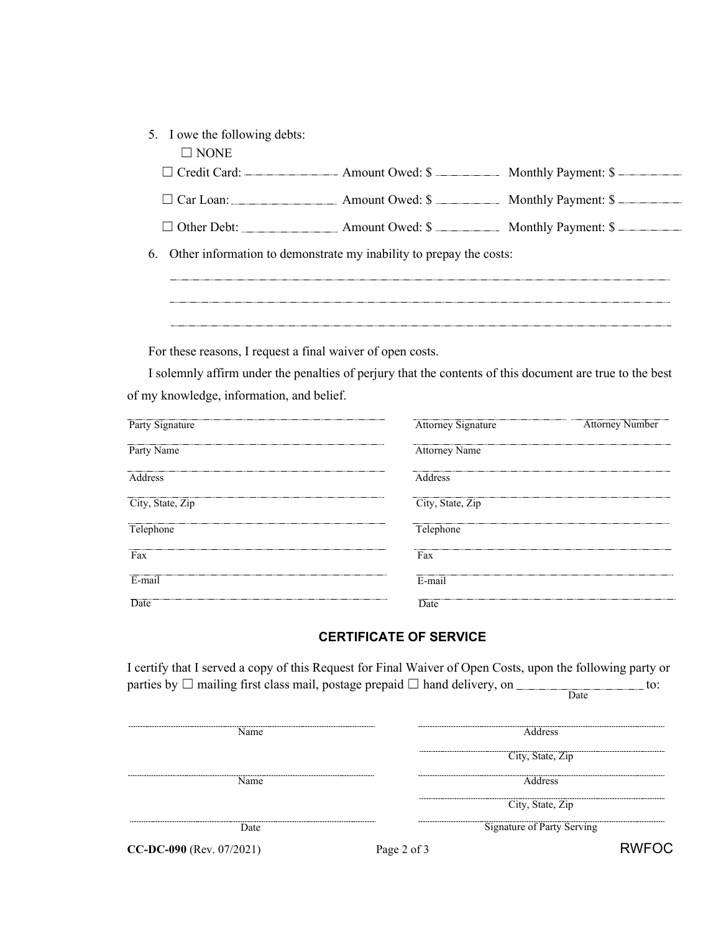|  | 5. I owe the following debts: |  |  |  |
|--|-------------------------------|--|--|--|
|--|-------------------------------|--|--|--|

| $\sqcap$ none |  |
|---------------|--|
|               |  |

| $\Box$ Credit Card: - | $-$ Amount Owed: $\frac{1}{2}$ | Monthly Payment: \$ |  |
|-----------------------|--------------------------------|---------------------|--|
|-----------------------|--------------------------------|---------------------|--|

| $\Box$ Car Loan: | $Amount$ Owed: $\$\$ | Monthly Payment: \$ |
|------------------|----------------------|---------------------|
|------------------|----------------------|---------------------|

□ Other Debt: △ Amount Owed: \$ △ Monthly Payment: \$

6. Other information to demonstrate my inability to prepay the costs:

For these reasons, I request a final waiver of open costs.

I solemnly affirm under the penalties of perjury that the contents of this document are true to the best of my knowledge, information, and belief.

| Party Signature  | <b>Attorney Signature</b> | <b>Attorney Number</b> |
|------------------|---------------------------|------------------------|
| Party Name       | <b>Attorney Name</b>      |                        |
| Address          | Address                   |                        |
| City, State, Zip | City, State, Zip          |                        |
| Telephone        | Telephone                 |                        |
| Fax              | Fax                       |                        |
| E-mail           | E-mail                    |                        |
| Date             | Date                      |                        |

## **CERTIFICATE OF SERVICE**

I certify that I served a copy of this Request for Final Waiver of Open Costs, upon the following party or parties by  $\Box$  mailing first class mail, postage prepaid  $\Box$  hand delivery, on  $\Box$  to: **Date** 

| Name.                      | -----              | <b>Address</b>             |
|----------------------------|--------------------|----------------------------|
|                            | ------------------ | City, State, Zip           |
| Name.                      | ----               | <b>Address</b>             |
|                            |                    | City, State, Zip           |
| Date.                      |                    | Signature of Party Serving |
| $CC-DC-090$ (Rev. 07/2021) | Page 2 of 3        | RWFOC                      |